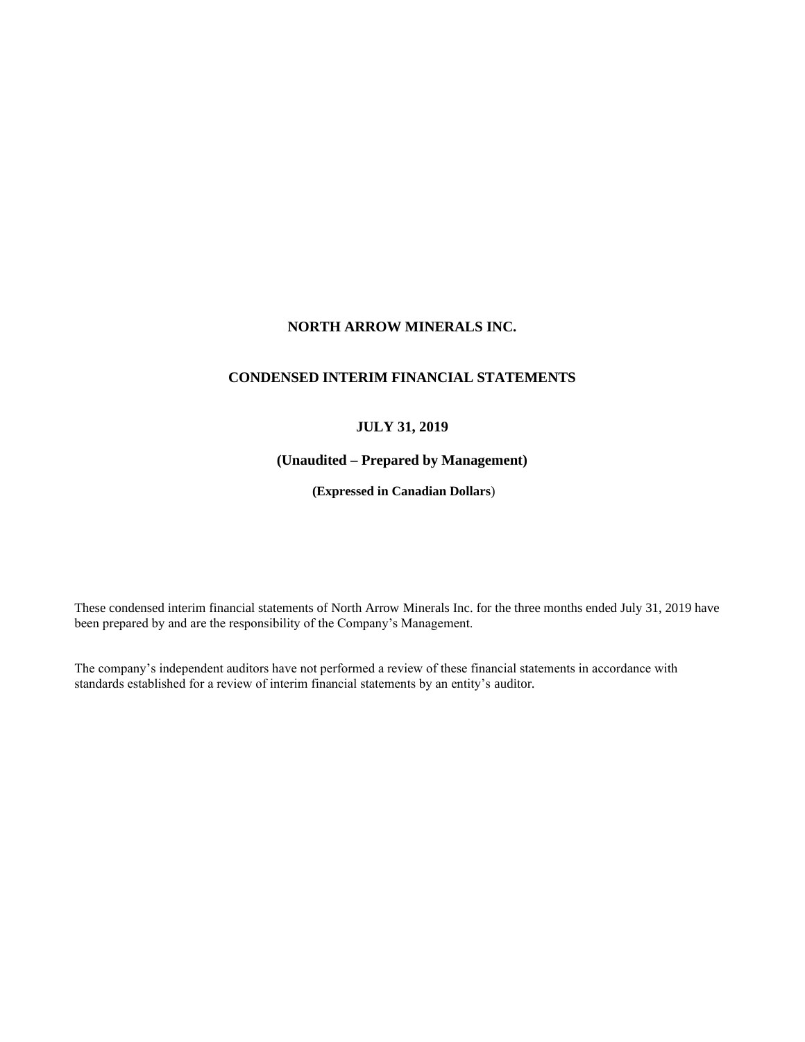# **NORTH ARROW MINERALS INC.**

# **CONDENSED INTERIM FINANCIAL STATEMENTS**

# **JULY 31, 2019**

# **(Unaudited – Prepared by Management)**

**(Expressed in Canadian Dollars**)

These condensed interim financial statements of North Arrow Minerals Inc. for the three months ended July 31, 2019 have been prepared by and are the responsibility of the Company's Management.

The company's independent auditors have not performed a review of these financial statements in accordance with standards established for a review of interim financial statements by an entity's auditor.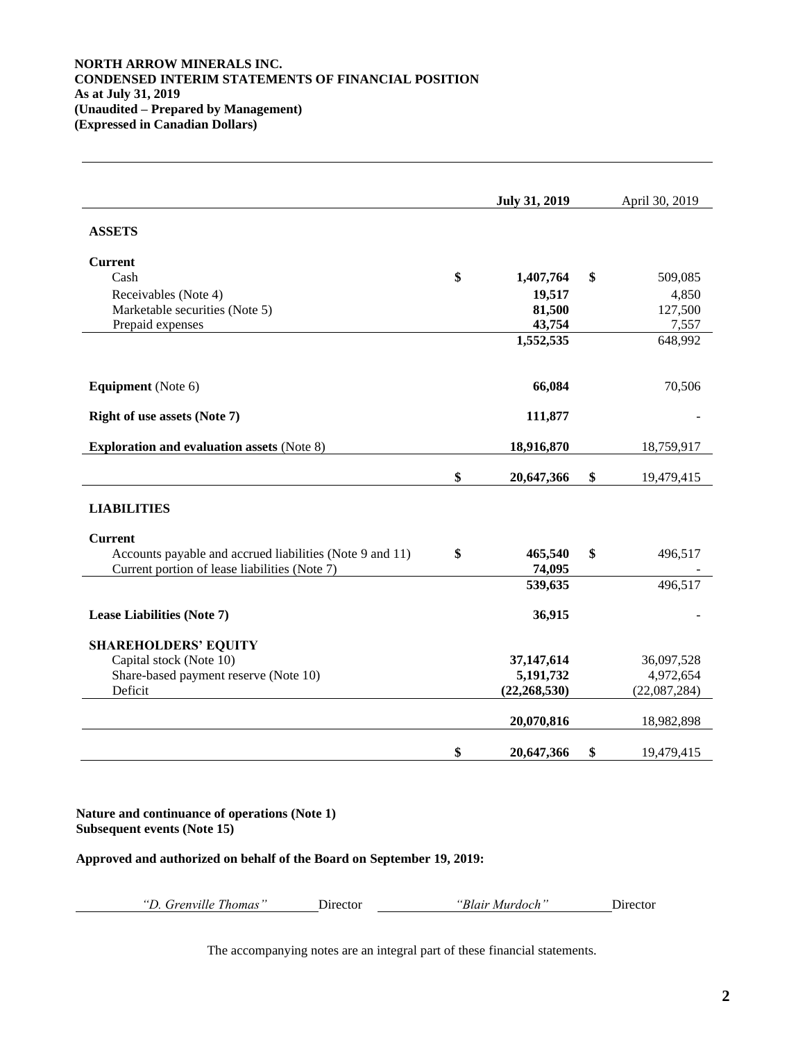# **NORTH ARROW MINERALS INC. CONDENSED INTERIM STATEMENTS OF FINANCIAL POSITION As at July 31, 2019 (Unaudited – Prepared by Management) (Expressed in Canadian Dollars)**

| <b>July 31, 2019</b> |                                                               | April 30, 2019 |
|----------------------|---------------------------------------------------------------|----------------|
|                      |                                                               |                |
|                      |                                                               |                |
| \$<br>1,407,764      | \$                                                            | 509,085        |
| 19,517               |                                                               | 4,850          |
| 81,500               |                                                               | 127,500        |
| 43,754               |                                                               | 7,557          |
|                      |                                                               | 648,992        |
| 66,084               |                                                               | 70,506         |
| 111,877              |                                                               |                |
| 18,916,870           |                                                               | 18,759,917     |
| \$<br>20,647,366     | \$                                                            | 19,479,415     |
|                      |                                                               |                |
|                      |                                                               |                |
| \$<br>465,540        | \$                                                            | 496,517        |
|                      |                                                               |                |
|                      |                                                               | 496,517        |
| 36,915               |                                                               |                |
|                      |                                                               |                |
| 37,147,614           |                                                               | 36,097,528     |
|                      |                                                               | 4,972,654      |
|                      |                                                               | (22,087,284)   |
| 20,070,816           |                                                               | 18,982,898     |
| \$<br>20,647,366     | \$                                                            | 19,479,415     |
|                      | 1,552,535<br>74,095<br>539,635<br>5,191,732<br>(22, 268, 530) |                |

**Nature and continuance of operations (Note 1) Subsequent events (Note 15)**

**Approved and authorized on behalf of the Board on September 19, 2019:**

| "D. Grenville Thomas" | Director | "Blair Murdoch" | Director |
|-----------------------|----------|-----------------|----------|
|                       |          |                 |          |

The accompanying notes are an integral part of these financial statements.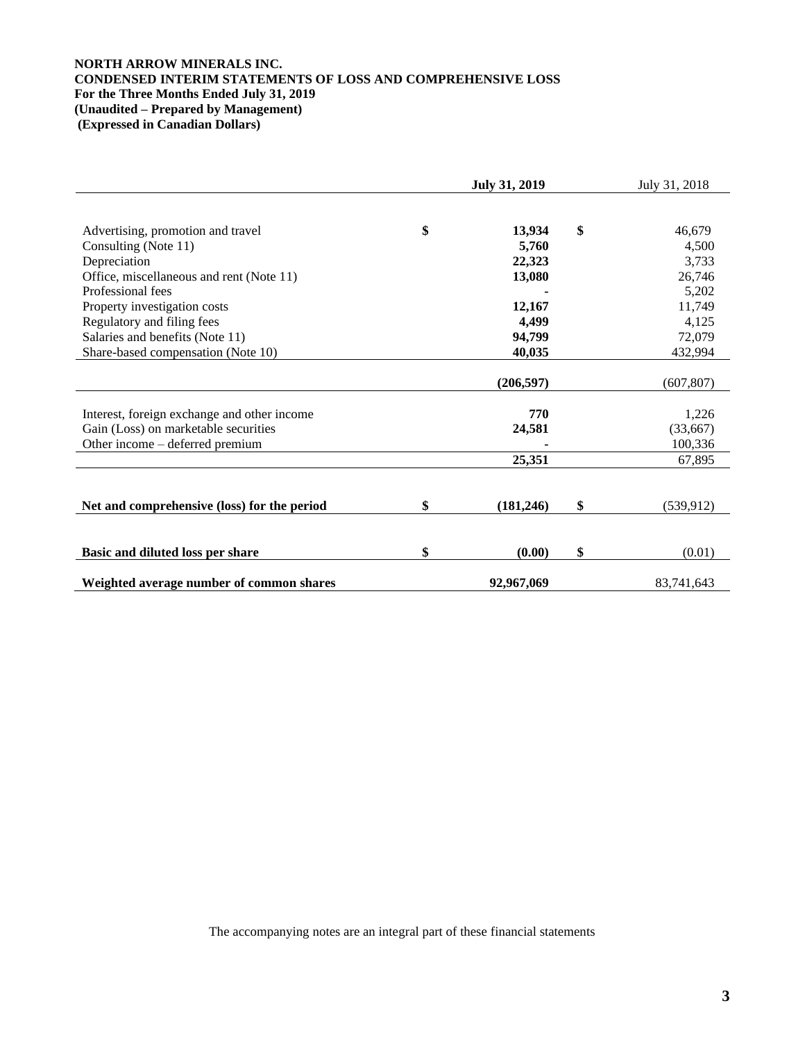# **NORTH ARROW MINERALS INC. CONDENSED INTERIM STATEMENTS OF LOSS AND COMPREHENSIVE LOSS For the Three Months Ended July 31, 2019 (Unaudited – Prepared by Management) (Expressed in Canadian Dollars)**

|                                             | <b>July 31, 2019</b> | July 31, 2018    |  |
|---------------------------------------------|----------------------|------------------|--|
|                                             |                      |                  |  |
| Advertising, promotion and travel           | \$<br>13,934         | \$<br>46,679     |  |
| Consulting (Note 11)                        | 5,760                | 4,500            |  |
| Depreciation                                | 22,323               | 3,733            |  |
| Office, miscellaneous and rent (Note 11)    | 13,080               | 26,746           |  |
| Professional fees                           |                      | 5,202            |  |
| Property investigation costs                | 12,167               | 11,749           |  |
| Regulatory and filing fees                  | 4,499                | 4,125            |  |
| Salaries and benefits (Note 11)             | 94,799               | 72,079           |  |
| Share-based compensation (Note 10)          | 40,035               | 432,994          |  |
|                                             |                      |                  |  |
|                                             | (206, 597)           | (607, 807)       |  |
|                                             |                      |                  |  |
| Interest, foreign exchange and other income | 770                  | 1,226            |  |
| Gain (Loss) on marketable securities        | 24,581               | (33,667)         |  |
| Other income - deferred premium             |                      | 100,336          |  |
|                                             | 25,351               | 67,895           |  |
|                                             |                      |                  |  |
| Net and comprehensive (loss) for the period | \$<br>(181, 246)     | \$<br>(539, 912) |  |
|                                             |                      |                  |  |
| Basic and diluted loss per share            | \$<br>(0.00)         | \$<br>(0.01)     |  |
| Weighted average number of common shares    | 92,967,069           | 83,741,643       |  |

The accompanying notes are an integral part of these financial statements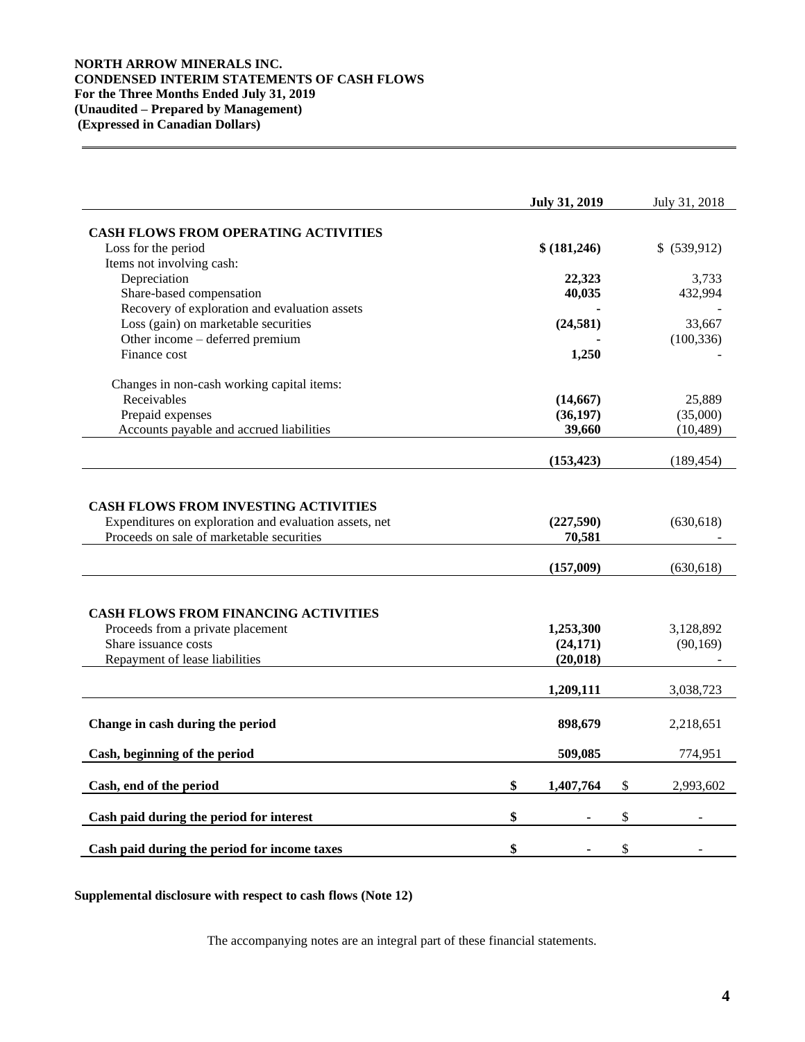# **NORTH ARROW MINERALS INC. CONDENSED INTERIM STATEMENTS OF CASH FLOWS For the Three Months Ended July 31, 2019 (Unaudited – Prepared by Management) (Expressed in Canadian Dollars)**

|                                                                                                                                            | <b>July 31, 2019</b>                | July 31, 2018            |
|--------------------------------------------------------------------------------------------------------------------------------------------|-------------------------------------|--------------------------|
| <b>CASH FLOWS FROM OPERATING ACTIVITIES</b>                                                                                                |                                     |                          |
| Loss for the period                                                                                                                        | \$ (181,246)                        | \$ (539,912)             |
| Items not involving cash:                                                                                                                  |                                     |                          |
| Depreciation                                                                                                                               | 22,323                              | 3,733                    |
| Share-based compensation                                                                                                                   | 40,035                              | 432,994                  |
| Recovery of exploration and evaluation assets                                                                                              |                                     |                          |
| Loss (gain) on marketable securities                                                                                                       | (24, 581)                           | 33,667                   |
| Other income - deferred premium                                                                                                            |                                     | (100, 336)               |
| Finance cost                                                                                                                               | 1,250                               |                          |
| Changes in non-cash working capital items:                                                                                                 |                                     |                          |
| Receivables                                                                                                                                | (14, 667)                           | 25,889                   |
| Prepaid expenses                                                                                                                           | (36, 197)                           | (35,000)                 |
| Accounts payable and accrued liabilities                                                                                                   | 39,660                              | (10, 489)                |
|                                                                                                                                            | (153, 423)                          | (189, 454)               |
| Expenditures on exploration and evaluation assets, net<br>Proceeds on sale of marketable securities                                        | (227,590)<br>70,581<br>(157,009)    | (630, 618)<br>(630, 618) |
| <b>CASH FLOWS FROM FINANCING ACTIVITIES</b><br>Proceeds from a private placement<br>Share issuance costs<br>Repayment of lease liabilities | 1,253,300<br>(24, 171)<br>(20, 018) | 3,128,892<br>(90, 169)   |
|                                                                                                                                            | 1,209,111                           | 3,038,723                |
| Change in cash during the period                                                                                                           | 898,679                             | 2,218,651                |
| Cash, beginning of the period                                                                                                              | 509,085                             | 774,951                  |
| Cash, end of the period                                                                                                                    | \$<br>1,407,764                     | \$<br>2,993,602          |
| Cash paid during the period for interest                                                                                                   | \$                                  | \$                       |
|                                                                                                                                            |                                     |                          |
| Cash paid during the period for income taxes                                                                                               | \$                                  | \$                       |

**Supplemental disclosure with respect to cash flows (Note 12)**

The accompanying notes are an integral part of these financial statements.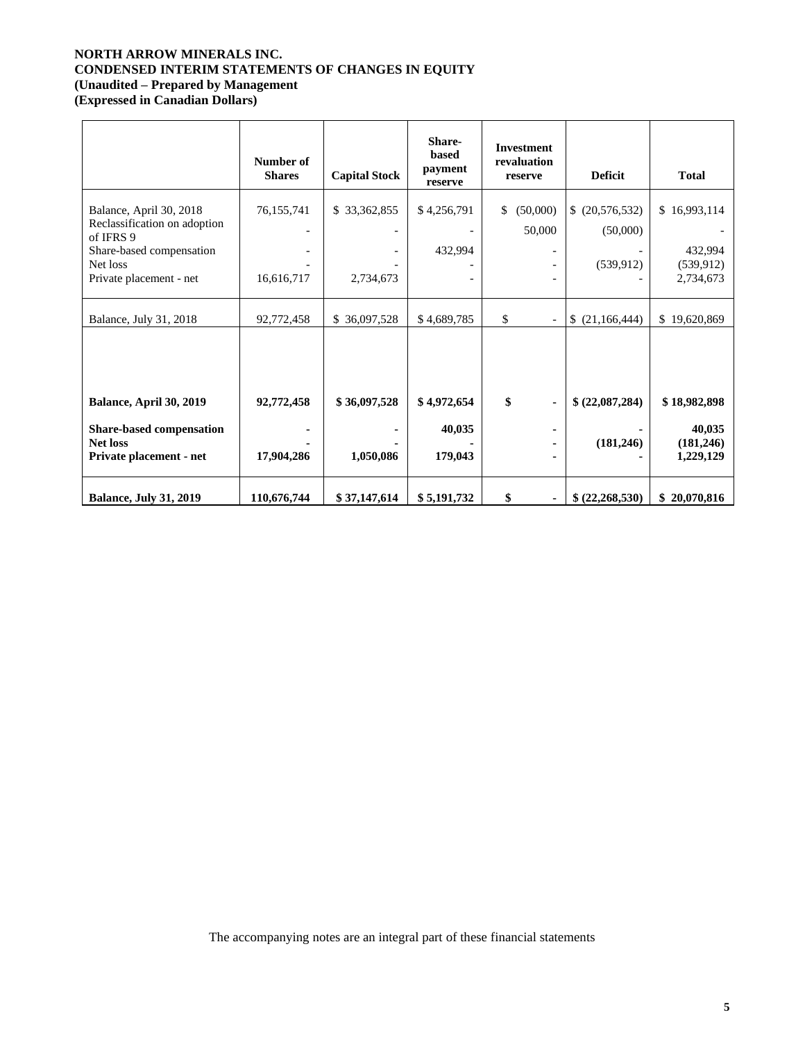# **NORTH ARROW MINERALS INC. CONDENSED INTERIM STATEMENTS OF CHANGES IN EQUITY (Unaudited – Prepared by Management**

**(Expressed in Canadian Dollars)**

|                                                                                                  | Number of<br><b>Shares</b> | <b>Capital Stock</b>                         | Share-<br>based<br>payment<br>reserve | <b>Investment</b><br>revaluation<br>reserve          | <b>Deficit</b>             | <b>Total</b>                      |
|--------------------------------------------------------------------------------------------------|----------------------------|----------------------------------------------|---------------------------------------|------------------------------------------------------|----------------------------|-----------------------------------|
| Balance, April 30, 2018<br>Reclassification on adoption<br>of IFRS 9<br>Share-based compensation | 76,155,741                 | \$33,362,855<br>$\qquad \qquad \blacksquare$ | \$4,256,791<br>432,994                | (50,000)<br>\$<br>50,000<br>$\overline{\phantom{a}}$ | (20, 576, 532)<br>(50,000) | \$16,993,114<br>432,994           |
| Net loss<br>Private placement - net                                                              | 16,616,717                 | 2,734,673                                    |                                       | $\overline{\phantom{a}}$<br>$\qquad \qquad -$        | (539, 912)                 | (539, 912)<br>2,734,673           |
| Balance, July 31, 2018                                                                           | 92,772,458                 | \$36,097,528                                 | \$4,689,785                           | \$                                                   | (21, 166, 444)<br>S        | \$19,620,869                      |
|                                                                                                  |                            |                                              |                                       |                                                      |                            |                                   |
| Balance, April 30, 2019                                                                          | 92,772,458                 | \$36,097,528                                 | \$4,972,654                           | \$<br>$\blacksquare$                                 | \$ (22,087,284)            | \$18,982,898                      |
| Share-based compensation<br><b>Net loss</b><br>Private placement - net                           | 17,904,286                 | 1,050,086                                    | 40,035<br>179,043                     | ٠<br>٠<br>٠                                          | (181, 246)                 | 40,035<br>(181, 246)<br>1,229,129 |
| <b>Balance, July 31, 2019</b>                                                                    | 110,676,744                | \$37,147,614                                 | \$5,191,732                           | \$<br>$\blacksquare$                                 | \$ (22, 268, 530)          | \$20,070,816                      |

The accompanying notes are an integral part of these financial statements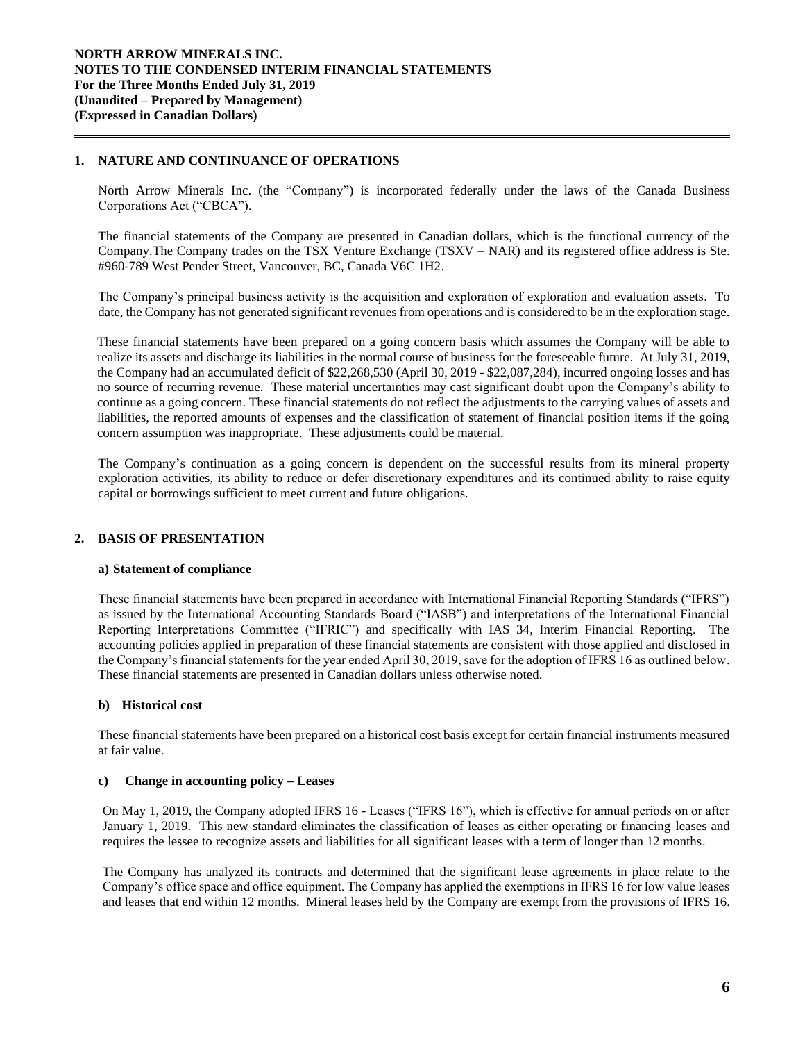# **1. NATURE AND CONTINUANCE OF OPERATIONS**

North Arrow Minerals Inc. (the "Company") is incorporated federally under the laws of the Canada Business Corporations Act ("CBCA").

The financial statements of the Company are presented in Canadian dollars, which is the functional currency of the Company.The Company trades on the TSX Venture Exchange (TSXV – NAR) and its registered office address is Ste. #960-789 West Pender Street, Vancouver, BC, Canada V6C 1H2.

The Company's principal business activity is the acquisition and exploration of exploration and evaluation assets. To date, the Company has not generated significant revenues from operations and is considered to be in the exploration stage.

These financial statements have been prepared on a going concern basis which assumes the Company will be able to realize its assets and discharge its liabilities in the normal course of business for the foreseeable future. At July 31, 2019, the Company had an accumulated deficit of \$22,268,530 (April 30, 2019 - \$22,087,284), incurred ongoing losses and has no source of recurring revenue. These material uncertainties may cast significant doubt upon the Company's ability to continue as a going concern. These financial statements do not reflect the adjustments to the carrying values of assets and liabilities, the reported amounts of expenses and the classification of statement of financial position items if the going concern assumption was inappropriate. These adjustments could be material.

The Company's continuation as a going concern is dependent on the successful results from its mineral property exploration activities, its ability to reduce or defer discretionary expenditures and its continued ability to raise equity capital or borrowings sufficient to meet current and future obligations.

# **2. BASIS OF PRESENTATION**

## **a) Statement of compliance**

These financial statements have been prepared in accordance with International Financial Reporting Standards ("IFRS") as issued by the International Accounting Standards Board ("IASB") and interpretations of the International Financial Reporting Interpretations Committee ("IFRIC") and specifically with IAS 34, Interim Financial Reporting. The accounting policies applied in preparation of these financial statements are consistent with those applied and disclosed in the Company's financial statements for the year ended April 30, 2019, save for the adoption of IFRS 16 as outlined below. These financial statements are presented in Canadian dollars unless otherwise noted.

# **b) Historical cost**

These financial statements have been prepared on a historical cost basis except for certain financial instruments measured at fair value.

## **c) Change in accounting policy – Leases**

On May 1, 2019, the Company adopted IFRS 16 - Leases ("IFRS 16"), which is effective for annual periods on or after January 1, 2019. This new standard eliminates the classification of leases as either operating or financing leases and requires the lessee to recognize assets and liabilities for all significant leases with a term of longer than 12 months.

The Company has analyzed its contracts and determined that the significant lease agreements in place relate to the Company's office space and office equipment. The Company has applied the exemptions in IFRS 16 for low value leases and leases that end within 12 months. Mineral leases held by the Company are exempt from the provisions of IFRS 16.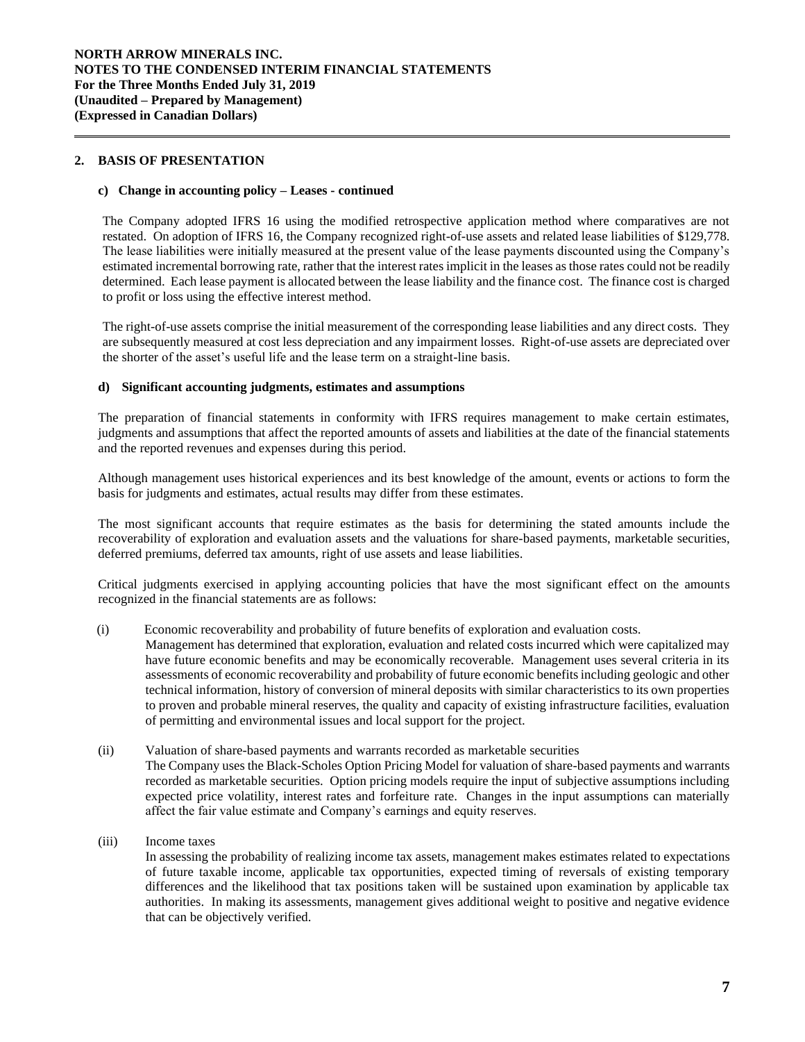## **2. BASIS OF PRESENTATION**

## **c) Change in accounting policy – Leases - continued**

The Company adopted IFRS 16 using the modified retrospective application method where comparatives are not restated. On adoption of IFRS 16, the Company recognized right-of-use assets and related lease liabilities of \$129,778. The lease liabilities were initially measured at the present value of the lease payments discounted using the Company's estimated incremental borrowing rate, rather that the interest rates implicit in the leases as those rates could not be readily determined. Each lease payment is allocated between the lease liability and the finance cost. The finance cost is charged to profit or loss using the effective interest method.

The right-of-use assets comprise the initial measurement of the corresponding lease liabilities and any direct costs. They are subsequently measured at cost less depreciation and any impairment losses. Right-of-use assets are depreciated over the shorter of the asset's useful life and the lease term on a straight-line basis.

## **d) Significant accounting judgments, estimates and assumptions**

The preparation of financial statements in conformity with IFRS requires management to make certain estimates, judgments and assumptions that affect the reported amounts of assets and liabilities at the date of the financial statements and the reported revenues and expenses during this period.

Although management uses historical experiences and its best knowledge of the amount, events or actions to form the basis for judgments and estimates, actual results may differ from these estimates.

The most significant accounts that require estimates as the basis for determining the stated amounts include the recoverability of exploration and evaluation assets and the valuations for share-based payments, marketable securities, deferred premiums, deferred tax amounts, right of use assets and lease liabilities.

Critical judgments exercised in applying accounting policies that have the most significant effect on the amounts recognized in the financial statements are as follows:

(i) Economic recoverability and probability of future benefits of exploration and evaluation costs*.* 

Management has determined that exploration, evaluation and related costs incurred which were capitalized may have future economic benefits and may be economically recoverable. Management uses several criteria in its assessments of economic recoverability and probability of future economic benefits including geologic and other technical information, history of conversion of mineral deposits with similar characteristics to its own properties to proven and probable mineral reserves, the quality and capacity of existing infrastructure facilities, evaluation of permitting and environmental issues and local support for the project.

- (ii) Valuation of share-based payments and warrants recorded as marketable securities The Company uses the Black-Scholes Option Pricing Model for valuation of share-based payments and warrants recorded as marketable securities. Option pricing models require the input of subjective assumptions including expected price volatility, interest rates and forfeiture rate. Changes in the input assumptions can materially affect the fair value estimate and Company's earnings and equity reserves.
- (iii) Income taxes

In assessing the probability of realizing income tax assets, management makes estimates related to expectations of future taxable income, applicable tax opportunities, expected timing of reversals of existing temporary differences and the likelihood that tax positions taken will be sustained upon examination by applicable tax authorities. In making its assessments, management gives additional weight to positive and negative evidence that can be objectively verified.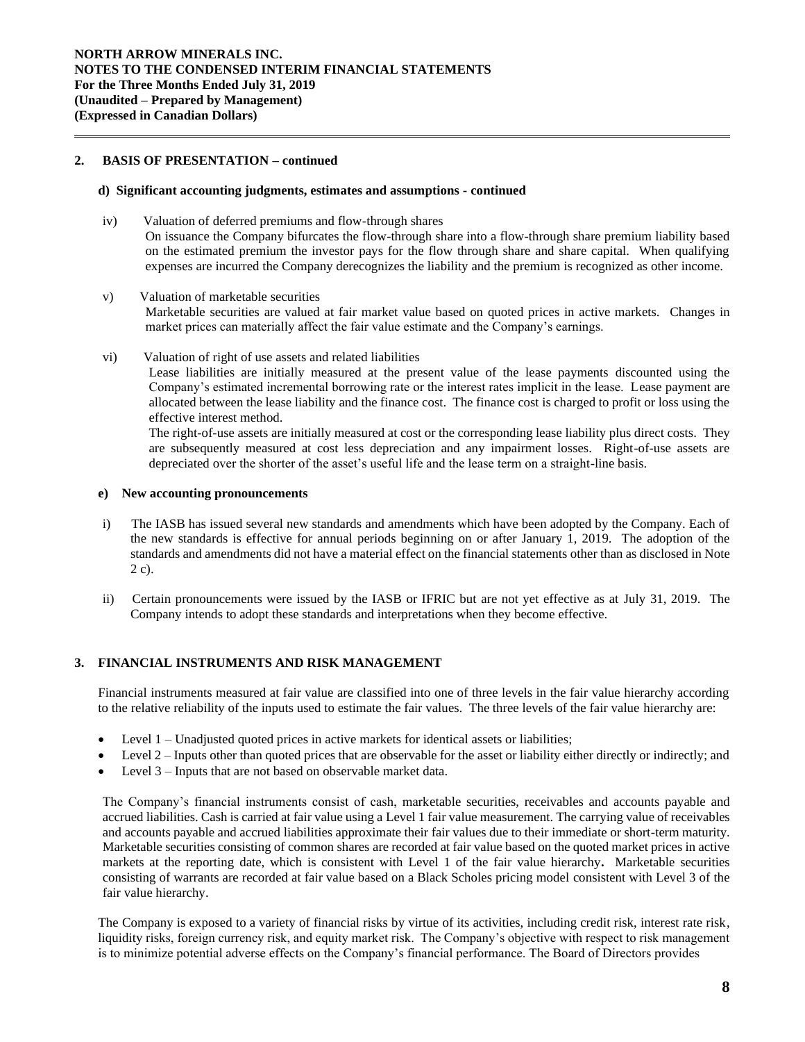# **2. BASIS OF PRESENTATION – continued**

## **d) Significant accounting judgments, estimates and assumptions** *-* **continued**

- iv) Valuation of deferred premiums and flow-through shares On issuance the Company bifurcates the flow-through share into a flow-through share premium liability based on the estimated premium the investor pays for the flow through share and share capital. When qualifying expenses are incurred the Company derecognizes the liability and the premium is recognized as other income.
- v) Valuation of marketable securities Marketable securities are valued at fair market value based on quoted prices in active markets. Changes in market prices can materially affect the fair value estimate and the Company's earnings.
- vi) Valuation of right of use assets and related liabilities

Lease liabilities are initially measured at the present value of the lease payments discounted using the Company's estimated incremental borrowing rate or the interest rates implicit in the lease. Lease payment are allocated between the lease liability and the finance cost. The finance cost is charged to profit or loss using the effective interest method.

The right-of-use assets are initially measured at cost or the corresponding lease liability plus direct costs. They are subsequently measured at cost less depreciation and any impairment losses. Right-of-use assets are depreciated over the shorter of the asset's useful life and the lease term on a straight-line basis.

## **e) New accounting pronouncements**

- i) The IASB has issued several new standards and amendments which have been adopted by the Company. Each of the new standards is effective for annual periods beginning on or after January 1, 2019. The adoption of the standards and amendments did not have a material effect on the financial statements other than as disclosed in Note 2 c).
- ii) Certain pronouncements were issued by the IASB or IFRIC but are not yet effective as at July 31, 2019. The Company intends to adopt these standards and interpretations when they become effective.

# **3. FINANCIAL INSTRUMENTS AND RISK MANAGEMENT**

Financial instruments measured at fair value are classified into one of three levels in the fair value hierarchy according to the relative reliability of the inputs used to estimate the fair values. The three levels of the fair value hierarchy are:

- Level 1 Unadjusted quoted prices in active markets for identical assets or liabilities;
- Level 2 Inputs other than quoted prices that are observable for the asset or liability either directly or indirectly; and
- Level 3 Inputs that are not based on observable market data.

The Company's financial instruments consist of cash, marketable securities, receivables and accounts payable and accrued liabilities. Cash is carried at fair value using a Level 1 fair value measurement. The carrying value of receivables and accounts payable and accrued liabilities approximate their fair values due to their immediate or short-term maturity. Marketable securities consisting of common shares are recorded at fair value based on the quoted market prices in active markets at the reporting date, which is consistent with Level 1 of the fair value hierarchy**.** Marketable securities consisting of warrants are recorded at fair value based on a Black Scholes pricing model consistent with Level 3 of the fair value hierarchy.

The Company is exposed to a variety of financial risks by virtue of its activities, including credit risk, interest rate risk, liquidity risks, foreign currency risk, and equity market risk. The Company's objective with respect to risk management is to minimize potential adverse effects on the Company's financial performance. The Board of Directors provides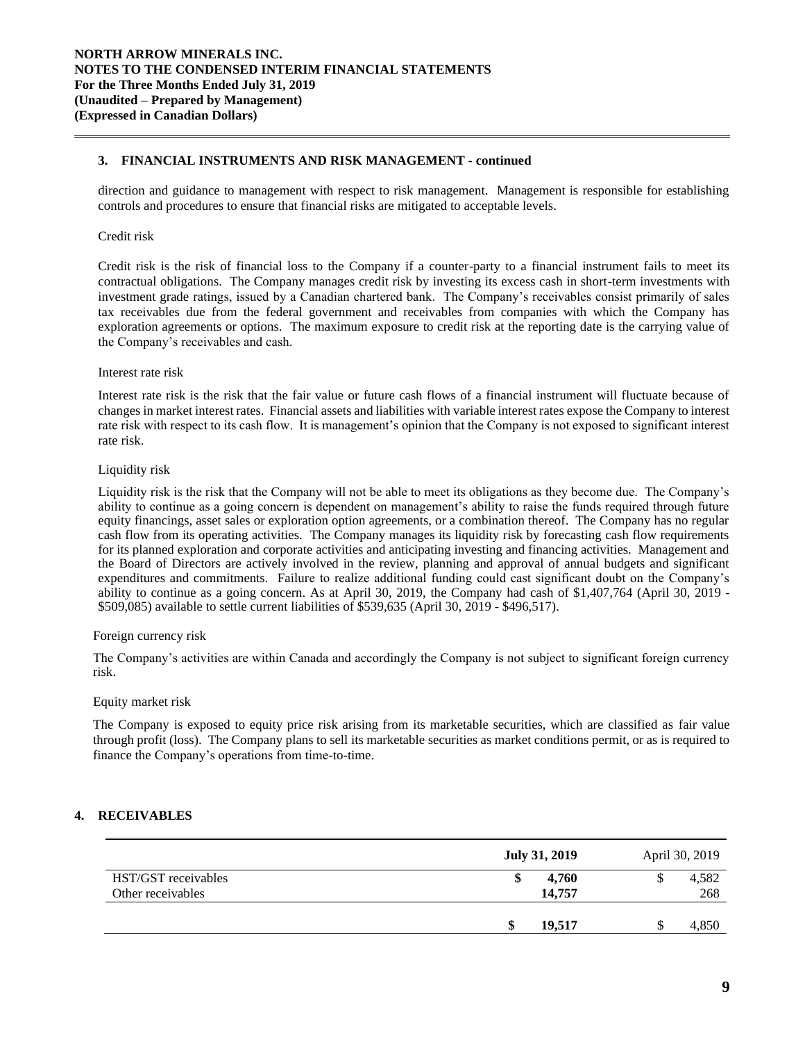# **3. FINANCIAL INSTRUMENTS AND RISK MANAGEMENT - continued**

direction and guidance to management with respect to risk management. Management is responsible for establishing controls and procedures to ensure that financial risks are mitigated to acceptable levels.

## Credit risk

Credit risk is the risk of financial loss to the Company if a counter-party to a financial instrument fails to meet its contractual obligations. The Company manages credit risk by investing its excess cash in short-term investments with investment grade ratings, issued by a Canadian chartered bank. The Company's receivables consist primarily of sales tax receivables due from the federal government and receivables from companies with which the Company has exploration agreements or options. The maximum exposure to credit risk at the reporting date is the carrying value of the Company's receivables and cash.

## Interest rate risk

Interest rate risk is the risk that the fair value or future cash flows of a financial instrument will fluctuate because of changes in market interest rates. Financial assets and liabilities with variable interest rates expose the Company to interest rate risk with respect to its cash flow. It is management's opinion that the Company is not exposed to significant interest rate risk.

## Liquidity risk

Liquidity risk is the risk that the Company will not be able to meet its obligations as they become due. The Company's ability to continue as a going concern is dependent on management's ability to raise the funds required through future equity financings, asset sales or exploration option agreements, or a combination thereof. The Company has no regular cash flow from its operating activities. The Company manages its liquidity risk by forecasting cash flow requirements for its planned exploration and corporate activities and anticipating investing and financing activities. Management and the Board of Directors are actively involved in the review, planning and approval of annual budgets and significant expenditures and commitments. Failure to realize additional funding could cast significant doubt on the Company's ability to continue as a going concern. As at April 30, 2019, the Company had cash of \$1,407,764 (April 30, 2019 - \$509,085) available to settle current liabilities of \$539,635 (April 30, 2019 - \$496,517).

## Foreign currency risk

The Company's activities are within Canada and accordingly the Company is not subject to significant foreign currency risk.

## Equity market risk

The Company is exposed to equity price risk arising from its marketable securities, which are classified as fair value through profit (loss). The Company plans to sell its marketable securities as market conditions permit, or as is required to finance the Company's operations from time-to-time.

# **4. RECEIVABLES**

|                                          | <b>July 31, 2019</b> | April 30, 2019 |
|------------------------------------------|----------------------|----------------|
| HST/GST receivables<br>Other receivables | 4.760<br>14,757      | 4,582<br>268   |
|                                          | 19.517<br>۰п         | 4,850          |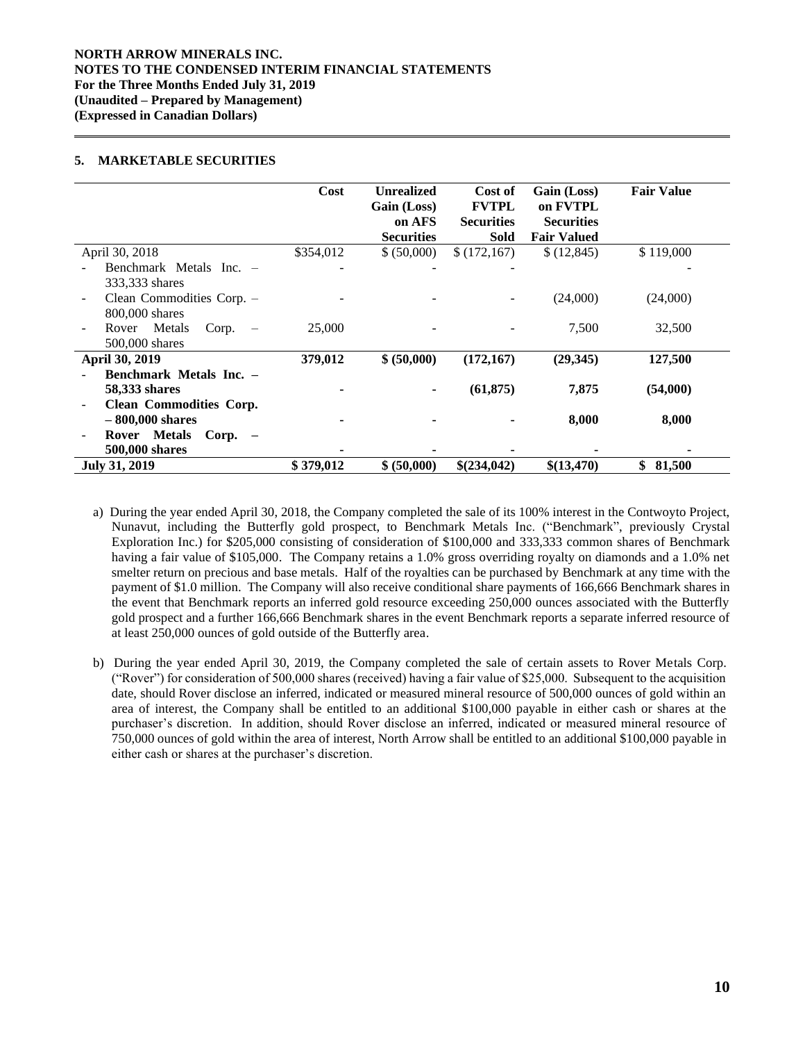# **NORTH ARROW MINERALS INC. NOTES TO THE CONDENSED INTERIM FINANCIAL STATEMENTS For the Three Months Ended July 31, 2019 (Unaudited – Prepared by Management) (Expressed in Canadian Dollars)**

# **5. MARKETABLE SECURITIES**

|                                                      | Cost      | <b>Unrealized</b><br>Gain (Loss)<br>on AFS<br><b>Securities</b> | Cost of<br><b>FVTPL</b><br><b>Securities</b><br>Sold | Gain (Loss)<br>on FVTPL<br><b>Securities</b><br><b>Fair Valued</b> | <b>Fair Value</b> |
|------------------------------------------------------|-----------|-----------------------------------------------------------------|------------------------------------------------------|--------------------------------------------------------------------|-------------------|
| April 30, 2018                                       | \$354,012 | \$ (50,000)                                                     | \$(172,167)                                          | \$(12, 845)                                                        | \$119,000         |
| Benchmark Metals Inc. -                              |           |                                                                 |                                                      |                                                                    |                   |
| 333,333 shares                                       |           |                                                                 |                                                      |                                                                    |                   |
| Clean Commodities Corp. -                            |           |                                                                 |                                                      | (24,000)                                                           | (24,000)          |
| 800,000 shares                                       |           |                                                                 |                                                      |                                                                    |                   |
| Metals<br>Corp.<br>Rover<br>$\overline{\phantom{a}}$ | 25,000    |                                                                 |                                                      | 7,500                                                              | 32,500            |
| 500,000 shares                                       |           |                                                                 |                                                      |                                                                    |                   |
| April 30, 2019                                       | 379,012   | \$ (50,000)                                                     | (172, 167)                                           | (29, 345)                                                          | 127,500           |
| Benchmark Metals Inc. -                              |           |                                                                 |                                                      |                                                                    |                   |
| <b>58,333 shares</b>                                 |           |                                                                 | (61, 875)                                            | 7,875                                                              | (54,000)          |
| <b>Clean Commodities Corp.</b>                       |           |                                                                 |                                                      |                                                                    |                   |
| $-800,000$ shares                                    |           |                                                                 |                                                      | 8,000                                                              | 8,000             |
| Rover Metals<br>$Corp. -$                            |           |                                                                 |                                                      |                                                                    |                   |
| 500,000 shares                                       |           |                                                                 |                                                      |                                                                    |                   |
| <b>July 31, 2019</b>                                 | \$379,012 | \$ (50,000)                                                     | \$(234,042)                                          | \$(13,470)                                                         | \$<br>81,500      |

a) During the year ended April 30, 2018, the Company completed the sale of its 100% interest in the Contwoyto Project, Nunavut, including the Butterfly gold prospect, to Benchmark Metals Inc. ("Benchmark", previously Crystal Exploration Inc.) for \$205,000 consisting of consideration of \$100,000 and 333,333 common shares of Benchmark having a fair value of \$105,000. The Company retains a 1.0% gross overriding royalty on diamonds and a 1.0% net smelter return on precious and base metals. Half of the royalties can be purchased by Benchmark at any time with the payment of \$1.0 million. The Company will also receive conditional share payments of 166,666 Benchmark shares in the event that Benchmark reports an inferred gold resource exceeding 250,000 ounces associated with the Butterfly gold prospect and a further 166,666 Benchmark shares in the event Benchmark reports a separate inferred resource of at least 250,000 ounces of gold outside of the Butterfly area.

b) During the year ended April 30, 2019, the Company completed the sale of certain assets to Rover Metals Corp. ("Rover") for consideration of 500,000 shares (received) having a fair value of \$25,000. Subsequent to the acquisition date, should Rover disclose an inferred, indicated or measured mineral resource of 500,000 ounces of gold within an area of interest, the Company shall be entitled to an additional \$100,000 payable in either cash or shares at the purchaser's discretion. In addition, should Rover disclose an inferred, indicated or measured mineral resource of 750,000 ounces of gold within the area of interest, North Arrow shall be entitled to an additional \$100,000 payable in either cash or shares at the purchaser's discretion.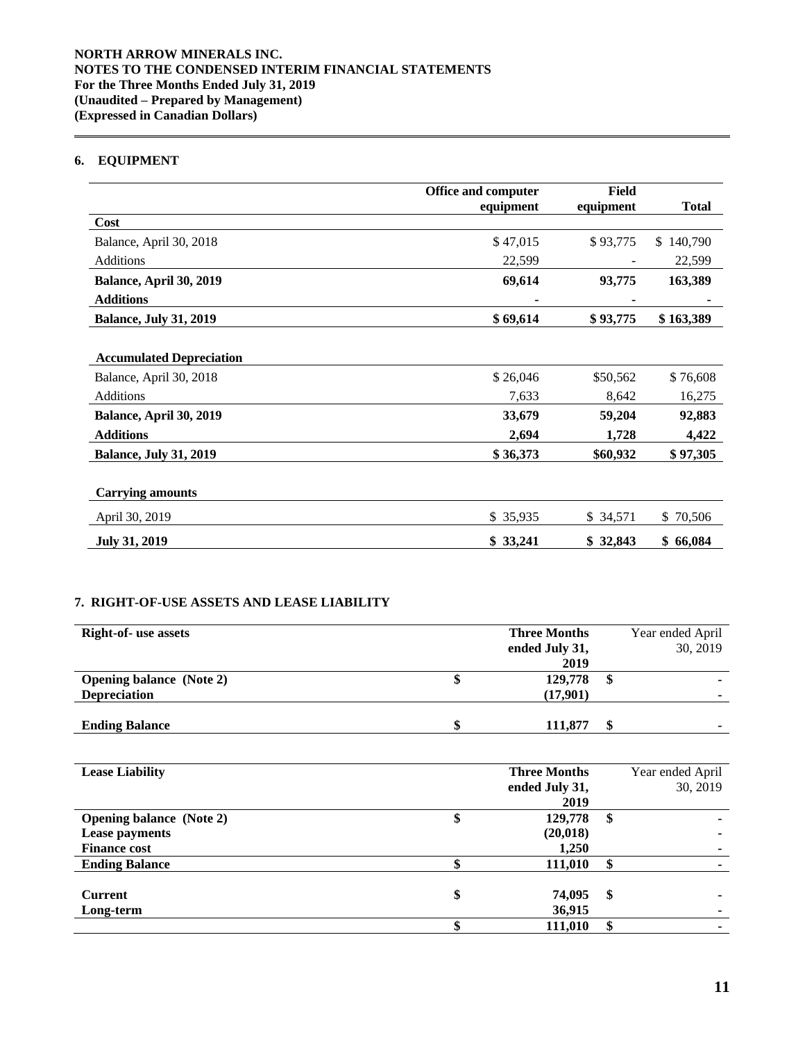# **6. EQUIPMENT**

|                                 | <b>Office and computer</b> | Field     |                |
|---------------------------------|----------------------------|-----------|----------------|
|                                 | equipment                  | equipment | <b>Total</b>   |
| Cost                            |                            |           |                |
| Balance, April 30, 2018         | \$47,015                   | \$93,775  | 140,790<br>\$. |
| <b>Additions</b>                | 22,599                     |           | 22,599         |
| Balance, April 30, 2019         | 69,614                     | 93,775    | 163,389        |
| <b>Additions</b>                |                            |           |                |
| <b>Balance, July 31, 2019</b>   | \$69,614                   | \$93,775  | \$163,389      |
|                                 |                            |           |                |
| <b>Accumulated Depreciation</b> |                            |           |                |
| Balance, April 30, 2018         | \$26,046                   | \$50,562  | \$76,608       |
| <b>Additions</b>                | 7,633                      | 8,642     | 16,275         |
| Balance, April 30, 2019         | 33,679                     | 59,204    | 92,883         |
| <b>Additions</b>                | 2,694                      | 1,728     | 4,422          |
| <b>Balance, July 31, 2019</b>   | \$36,373                   | \$60,932  | \$97,305       |
|                                 |                            |           |                |
| <b>Carrying amounts</b>         |                            |           |                |
| April 30, 2019                  | \$35,935                   | \$34,571  | \$70,506       |
| <b>July 31, 2019</b>            | \$33,241                   | \$32,843  | \$66,084       |

# **7. RIGHT-OF-USE ASSETS AND LEASE LIABILITY**

| <b>Right-of- use assets</b>     | <b>Three Months</b> | Year ended April |
|---------------------------------|---------------------|------------------|
|                                 | ended July 31,      | 30, 2019         |
|                                 | 2019                |                  |
| <b>Opening balance</b> (Note 2) | 129,778             | \$               |
| <b>Depreciation</b>             | (17,901)            |                  |
|                                 |                     |                  |
| <b>Ending Balance</b>           | 111.877             |                  |

| <b>Lease Liability</b>          |    | <b>Three Months</b> | Year ended April |
|---------------------------------|----|---------------------|------------------|
|                                 |    | ended July 31,      | 30, 2019         |
|                                 |    | 2019                |                  |
| <b>Opening balance</b> (Note 2) | Φ  | 129,778             | \$               |
| <b>Lease payments</b>           |    | (20, 018)           |                  |
| <b>Finance cost</b>             |    | 1,250               |                  |
| <b>Ending Balance</b>           | ¢  | 111,010             |                  |
|                                 |    |                     |                  |
| <b>Current</b>                  | \$ | 74,095              | \$               |
| Long-term                       |    | 36,915              |                  |
|                                 |    | 111,010             |                  |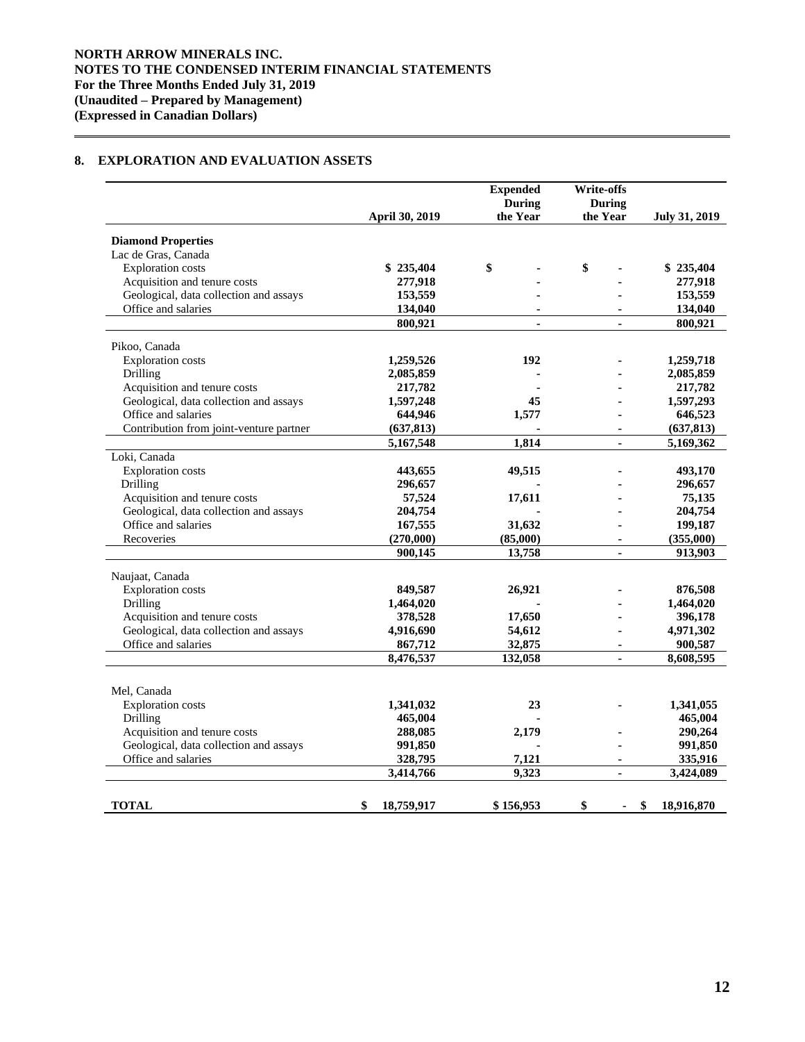# **8. EXPLORATION AND EVALUATION ASSETS**

|                                           | April 30, 2019   | <b>Expended</b><br><b>During</b><br>the Year | <b>Write-offs</b><br><b>During</b><br>the Year | July 31, 2019    |
|-------------------------------------------|------------------|----------------------------------------------|------------------------------------------------|------------------|
| <b>Diamond Properties</b>                 |                  |                                              |                                                |                  |
| Lac de Gras, Canada                       |                  |                                              |                                                |                  |
| <b>Exploration costs</b>                  | \$235,404        | \$                                           | \$                                             | \$235,404        |
| Acquisition and tenure costs              | 277,918          |                                              |                                                | 277,918          |
| Geological, data collection and assays    | 153,559          |                                              |                                                | 153,559          |
| Office and salaries                       | 134,040          |                                              |                                                | 134,040          |
|                                           | 800,921          |                                              |                                                | 800,921          |
|                                           |                  |                                              |                                                |                  |
| Pikoo, Canada<br><b>Exploration</b> costs | 1,259,526        | 192                                          |                                                | 1,259,718        |
| Drilling                                  | 2,085,859        |                                              |                                                | 2,085,859        |
| Acquisition and tenure costs              | 217,782          |                                              |                                                | 217,782          |
| Geological, data collection and assays    | 1,597,248        | 45                                           |                                                | 1,597,293        |
| Office and salaries                       | 644,946          | 1,577                                        |                                                | 646,523          |
| Contribution from joint-venture partner   | (637, 813)       |                                              |                                                | (637, 813)       |
|                                           | 5,167,548        | 1,814                                        | $\blacksquare$                                 | 5,169,362        |
| Loki, Canada                              |                  |                                              |                                                |                  |
| <b>Exploration</b> costs                  | 443,655          | 49,515                                       |                                                | 493,170          |
| Drilling                                  | 296,657          |                                              |                                                | 296,657          |
| Acquisition and tenure costs              | 57,524           | 17,611                                       |                                                | 75,135           |
| Geological, data collection and assays    | 204,754          |                                              |                                                | 204,754          |
| Office and salaries                       | 167,555          | 31,632                                       |                                                | 199,187          |
| Recoveries                                | (270,000)        | (85,000)                                     |                                                | (355,000)        |
|                                           | 900,145          | 13,758                                       | $\blacksquare$                                 | 913,903          |
| Naujaat, Canada                           |                  |                                              |                                                |                  |
| <b>Exploration</b> costs                  | 849,587          | 26,921                                       |                                                | 876,508          |
| Drilling                                  | 1,464,020        |                                              |                                                | 1,464,020        |
| Acquisition and tenure costs              | 378,528          | 17,650                                       |                                                | 396,178          |
| Geological, data collection and assays    | 4,916,690        | 54,612                                       |                                                | 4,971,302        |
| Office and salaries                       | 867,712          | 32,875                                       |                                                | 900,587          |
|                                           | 8,476,537        | 132,058                                      |                                                | 8,608,595        |
|                                           |                  |                                              |                                                |                  |
| Mel, Canada                               |                  |                                              |                                                |                  |
| <b>Exploration</b> costs                  | 1,341,032        | 23                                           |                                                | 1,341,055        |
| Drilling                                  | 465,004          |                                              |                                                | 465,004          |
| Acquisition and tenure costs              | 288,085          | 2,179                                        |                                                | 290,264          |
| Geological, data collection and assays    | 991,850          |                                              |                                                | 991,850          |
| Office and salaries                       | 328,795          | 7,121                                        | $\blacksquare$                                 | 335,916          |
|                                           | 3,414,766        | 9,323                                        | ÷.                                             | 3,424,089        |
| TOTAL                                     | \$<br>18,759,917 | \$156,953                                    | \$                                             | \$<br>18,916,870 |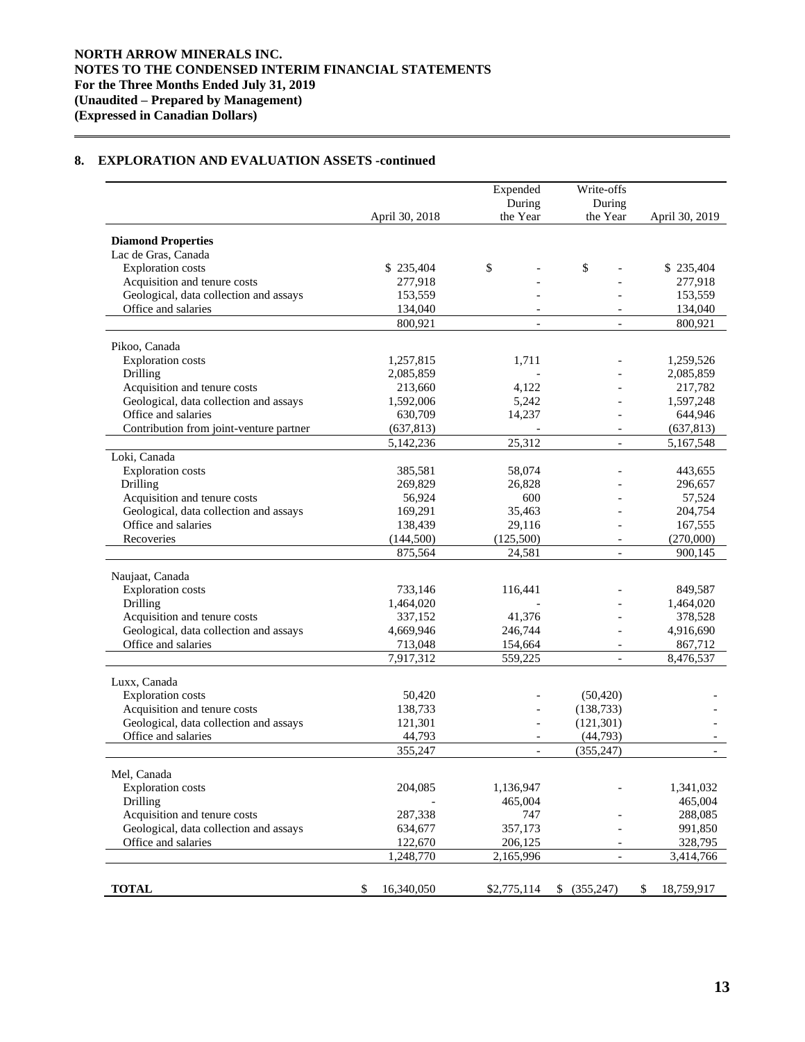# **8. EXPLORATION AND EVALUATION ASSETS -continued**

|                                                               | Expended<br>During    |                          | Write-offs<br>During     |                      |
|---------------------------------------------------------------|-----------------------|--------------------------|--------------------------|----------------------|
|                                                               | April 30, 2018        | the Year                 | the Year                 | April 30, 2019       |
| <b>Diamond Properties</b>                                     |                       |                          |                          |                      |
| Lac de Gras, Canada                                           |                       |                          |                          |                      |
| <b>Exploration</b> costs                                      | \$235,404             | \$                       | \$                       | \$235,404            |
| Acquisition and tenure costs                                  | 277,918               |                          |                          | 277,918              |
| Geological, data collection and assays                        | 153,559               |                          |                          | 153,559              |
| Office and salaries                                           | 134,040               |                          |                          | 134,040              |
|                                                               | 800,921               | $\overline{\phantom{a}}$ | $\overline{\phantom{a}}$ | 800.921              |
| Pikoo, Canada                                                 |                       |                          |                          |                      |
| <b>Exploration</b> costs                                      | 1,257,815             | 1,711                    |                          | 1,259,526            |
| Drilling                                                      | 2,085,859             |                          |                          | 2,085,859            |
| Acquisition and tenure costs                                  | 213,660               | 4,122                    |                          | 217,782              |
| Geological, data collection and assays                        | 1,592,006             | 5,242                    |                          | 1,597,248            |
| Office and salaries                                           | 630,709               | 14,237                   |                          | 644,946              |
| Contribution from joint-venture partner                       | (637, 813)            |                          |                          | (637, 813)           |
|                                                               | 5,142,236             | 25,312                   |                          | 5,167,548            |
| Loki, Canada                                                  |                       |                          |                          |                      |
| <b>Exploration</b> costs                                      | 385,581               | 58,074                   |                          | 443,655              |
| Drilling                                                      | 269,829               | 26,828                   |                          | 296,657              |
| Acquisition and tenure costs                                  | 56,924                | 600                      |                          | 57,524               |
| Geological, data collection and assays                        | 169,291               | 35,463                   |                          | 204,754              |
| Office and salaries                                           | 138,439               | 29,116                   |                          | 167,555              |
| Recoveries                                                    | (144, 500)<br>875,564 | (125,500)<br>24,581      | $\overline{a}$           | (270,000)<br>900,145 |
|                                                               |                       |                          |                          |                      |
| Naujaat, Canada                                               |                       |                          |                          |                      |
| <b>Exploration</b> costs                                      | 733,146               | 116,441                  |                          | 849,587              |
| Drilling                                                      | 1,464,020             |                          |                          | 1,464,020            |
| Acquisition and tenure costs                                  | 337,152               | 41,376                   |                          | 378,528              |
| Geological, data collection and assays<br>Office and salaries | 4,669,946             | 246,744                  |                          | 4,916,690            |
|                                                               | 713,048<br>7,917,312  | 154,664<br>559,225       | $\overline{a}$           | 867,712<br>8,476,537 |
|                                                               |                       |                          |                          |                      |
| Luxx, Canada                                                  |                       |                          |                          |                      |
| <b>Exploration</b> costs                                      | 50,420                |                          | (50, 420)                |                      |
| Acquisition and tenure costs                                  | 138,733               |                          | (138.733)                |                      |
| Geological, data collection and assays<br>Office and salaries | 121,301               | $\overline{a}$           | (121, 301)               |                      |
|                                                               | 44,793<br>355,247     | $\overline{\phantom{0}}$ | (44, 793)<br>(355, 247)  |                      |
|                                                               |                       |                          |                          |                      |
| Mel, Canada                                                   |                       |                          |                          |                      |
| <b>Exploration</b> costs                                      | 204,085               | 1,136,947                |                          | 1,341,032            |
| Drilling                                                      |                       | 465,004                  |                          | 465,004              |
| Acquisition and tenure costs                                  | 287,338               | 747                      |                          | 288,085              |
| Geological, data collection and assays                        | 634,677               | 357,173                  |                          | 991,850              |
| Office and salaries                                           | 122,670               | 206,125                  |                          | 328,795              |
|                                                               | 1,248,770             | 2,165,996                |                          | 3,414,766            |
|                                                               |                       |                          |                          |                      |
| <b>TOTAL</b>                                                  | \$<br>16,340,050      | \$2,775,114              | \$ (355,247)             | \$<br>18,759,917     |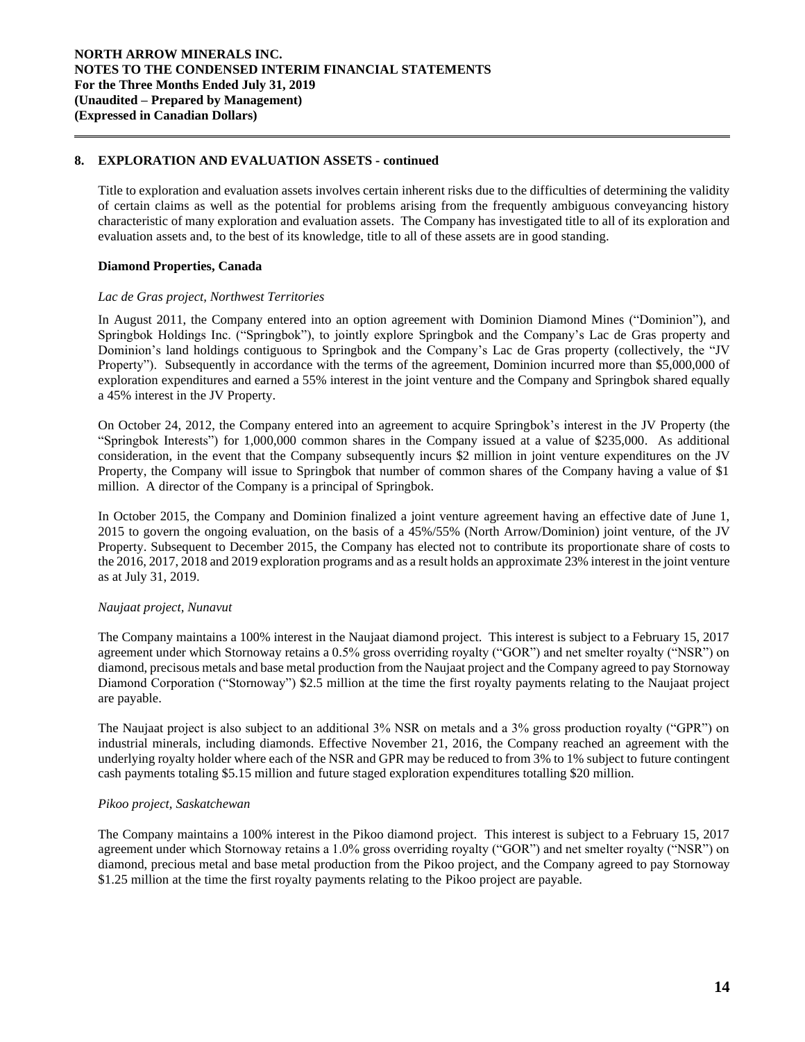# **8. EXPLORATION AND EVALUATION ASSETS - continued**

Title to exploration and evaluation assets involves certain inherent risks due to the difficulties of determining the validity of certain claims as well as the potential for problems arising from the frequently ambiguous conveyancing history characteristic of many exploration and evaluation assets. The Company has investigated title to all of its exploration and evaluation assets and, to the best of its knowledge, title to all of these assets are in good standing.

## **Diamond Properties, Canada**

## *Lac de Gras project, Northwest Territories*

In August 2011, the Company entered into an option agreement with Dominion Diamond Mines ("Dominion"), and Springbok Holdings Inc. ("Springbok"), to jointly explore Springbok and the Company's Lac de Gras property and Dominion's land holdings contiguous to Springbok and the Company's Lac de Gras property (collectively, the "JV Property"). Subsequently in accordance with the terms of the agreement, Dominion incurred more than \$5,000,000 of exploration expenditures and earned a 55% interest in the joint venture and the Company and Springbok shared equally a 45% interest in the JV Property.

On October 24, 2012, the Company entered into an agreement to acquire Springbok's interest in the JV Property (the "Springbok Interests") for 1,000,000 common shares in the Company issued at a value of \$235,000. As additional consideration, in the event that the Company subsequently incurs \$2 million in joint venture expenditures on the JV Property, the Company will issue to Springbok that number of common shares of the Company having a value of \$1 million. A director of the Company is a principal of Springbok.

In October 2015, the Company and Dominion finalized a joint venture agreement having an effective date of June 1, 2015 to govern the ongoing evaluation, on the basis of a 45%/55% (North Arrow/Dominion) joint venture, of the JV Property. Subsequent to December 2015, the Company has elected not to contribute its proportionate share of costs to the 2016, 2017, 2018 and 2019 exploration programs and as a result holds an approximate 23% interest in the joint venture as at July 31, 2019.

# *Naujaat project, Nunavut*

The Company maintains a 100% interest in the Naujaat diamond project. This interest is subject to a February 15, 2017 agreement under which Stornoway retains a 0.5% gross overriding royalty ("GOR") and net smelter royalty ("NSR") on diamond, precisous metals and base metal production from the Naujaat project and the Company agreed to pay Stornoway Diamond Corporation ("Stornoway") \$2.5 million at the time the first royalty payments relating to the Naujaat project are payable.

The Naujaat project is also subject to an additional 3% NSR on metals and a 3% gross production royalty ("GPR") on industrial minerals, including diamonds. Effective November 21, 2016, the Company reached an agreement with the underlying royalty holder where each of the NSR and GPR may be reduced to from 3% to 1% subject to future contingent cash payments totaling \$5.15 million and future staged exploration expenditures totalling \$20 million.

## *Pikoo project, Saskatchewan*

The Company maintains a 100% interest in the Pikoo diamond project. This interest is subject to a February 15, 2017 agreement under which Stornoway retains a 1.0% gross overriding royalty ("GOR") and net smelter royalty ("NSR") on diamond, precious metal and base metal production from the Pikoo project, and the Company agreed to pay Stornoway \$1.25 million at the time the first royalty payments relating to the Pikoo project are payable.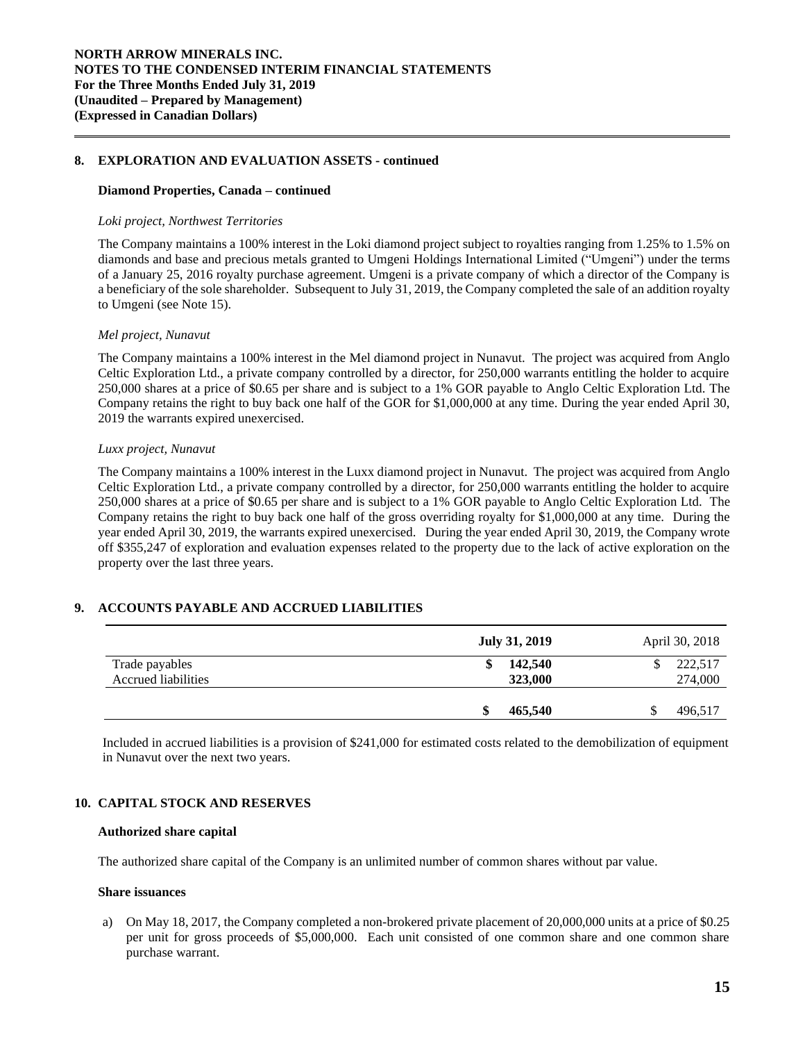## **8. EXPLORATION AND EVALUATION ASSETS - continued**

#### **Diamond Properties, Canada – continued**

#### *Loki project, Northwest Territories*

The Company maintains a 100% interest in the Loki diamond project subject to royalties ranging from 1.25% to 1.5% on diamonds and base and precious metals granted to Umgeni Holdings International Limited ("Umgeni") under the terms of a January 25, 2016 royalty purchase agreement. Umgeni is a private company of which a director of the Company is a beneficiary of the sole shareholder. Subsequent to July 31, 2019, the Company completed the sale of an addition royalty to Umgeni (see Note 15).

#### *Mel project, Nunavut*

The Company maintains a 100% interest in the Mel diamond project in Nunavut. The project was acquired from Anglo Celtic Exploration Ltd., a private company controlled by a director, for 250,000 warrants entitling the holder to acquire 250,000 shares at a price of \$0.65 per share and is subject to a 1% GOR payable to Anglo Celtic Exploration Ltd. The Company retains the right to buy back one half of the GOR for \$1,000,000 at any time. During the year ended April 30, 2019 the warrants expired unexercised.

## *Luxx project, Nunavut*

The Company maintains a 100% interest in the Luxx diamond project in Nunavut. The project was acquired from Anglo Celtic Exploration Ltd., a private company controlled by a director, for 250,000 warrants entitling the holder to acquire 250,000 shares at a price of \$0.65 per share and is subject to a 1% GOR payable to Anglo Celtic Exploration Ltd. The Company retains the right to buy back one half of the gross overriding royalty for \$1,000,000 at any time. During the year ended April 30, 2019, the warrants expired unexercised. During the year ended April 30, 2019, the Company wrote off \$355,247 of exploration and evaluation expenses related to the property due to the lack of active exploration on the property over the last three years.

# **9. ACCOUNTS PAYABLE AND ACCRUED LIABILITIES**

|                                       | <b>July 31, 2019</b>     | April 30, 2018     |  |
|---------------------------------------|--------------------------|--------------------|--|
| Trade payables<br>Accrued liabilities | 142,540<br>\$<br>323,000 | 222,517<br>274,000 |  |
|                                       | 465,540                  | 496,517            |  |

Included in accrued liabilities is a provision of \$241,000 for estimated costs related to the demobilization of equipment in Nunavut over the next two years.

# **10. CAPITAL STOCK AND RESERVES**

#### **Authorized share capital**

The authorized share capital of the Company is an unlimited number of common shares without par value.

#### **Share issuances**

a) On May 18, 2017, the Company completed a non-brokered private placement of 20,000,000 units at a price of \$0.25 per unit for gross proceeds of \$5,000,000. Each unit consisted of one common share and one common share purchase warrant.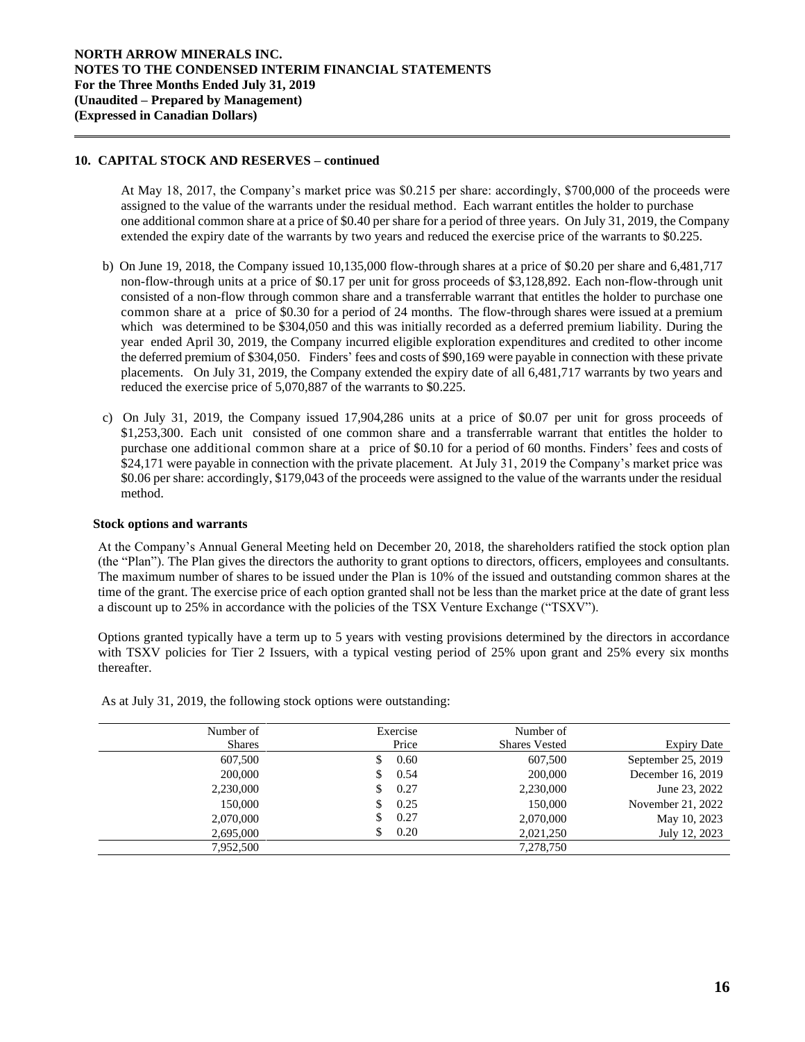## **10. CAPITAL STOCK AND RESERVES – continued**

At May 18, 2017, the Company's market price was \$0.215 per share: accordingly, \$700,000 of the proceeds were assigned to the value of the warrants under the residual method. Each warrant entitles the holder to purchase one additional common share at a price of \$0.40 per share for a period of three years. On July 31, 2019, the Company extended the expiry date of the warrants by two years and reduced the exercise price of the warrants to \$0.225.

- b) On June 19, 2018, the Company issued 10,135,000 flow-through shares at a price of \$0.20 per share and 6,481,717 non-flow-through units at a price of \$0.17 per unit for gross proceeds of \$3,128,892. Each non-flow-through unit consisted of a non-flow through common share and a transferrable warrant that entitles the holder to purchase one common share at a price of \$0.30 for a period of 24 months. The flow-through shares were issued at a premium which was determined to be \$304,050 and this was initially recorded as a deferred premium liability. During the year ended April 30, 2019, the Company incurred eligible exploration expenditures and credited to other income the deferred premium of \$304,050. Finders' fees and costs of \$90,169 were payable in connection with these private placements. On July 31, 2019, the Company extended the expiry date of all 6,481,717 warrants by two years and reduced the exercise price of 5,070,887 of the warrants to \$0.225.
- c) On July 31, 2019, the Company issued 17,904,286 units at a price of \$0.07 per unit for gross proceeds of \$1,253,300. Each unit consisted of one common share and a transferrable warrant that entitles the holder to purchase one additional common share at a price of \$0.10 for a period of 60 months. Finders' fees and costs of \$24,171 were payable in connection with the private placement. At July 31, 2019 the Company's market price was \$0.06 per share: accordingly, \$179,043 of the proceeds were assigned to the value of the warrants under the residual method.

## **Stock options and warrants**

At the Company's Annual General Meeting held on December 20, 2018, the shareholders ratified the stock option plan (the "Plan"). The Plan gives the directors the authority to grant options to directors, officers, employees and consultants. The maximum number of shares to be issued under the Plan is 10% of the issued and outstanding common shares at the time of the grant. The exercise price of each option granted shall not be less than the market price at the date of grant less a discount up to 25% in accordance with the policies of the TSX Venture Exchange ("TSXV").

Options granted typically have a term up to 5 years with vesting provisions determined by the directors in accordance with TSXV policies for Tier 2 Issuers, with a typical vesting period of 25% upon grant and 25% every six months thereafter.

|                    | Number of            | Exercise | Number of     |
|--------------------|----------------------|----------|---------------|
| <b>Expiry Date</b> | <b>Shares Vested</b> | Price    | <b>Shares</b> |
| September 25, 2019 | 607,500              | 0.60     | 607,500       |
| December 16, 2019  | 200,000              | 0.54     | 200,000       |
| June 23, 2022      | 2,230,000            | 0.27     | 2,230,000     |
| November 21, 2022  | 150,000              | 0.25     | 150,000       |
| May 10, 2023       | 2,070,000            | 0.27     | 2,070,000     |
| July 12, 2023      | 2,021,250            | 0.20     | 2,695,000     |
|                    | 7,278,750            |          | 7.952.500     |
|                    |                      |          |               |

As at July 31, 2019, the following stock options were outstanding: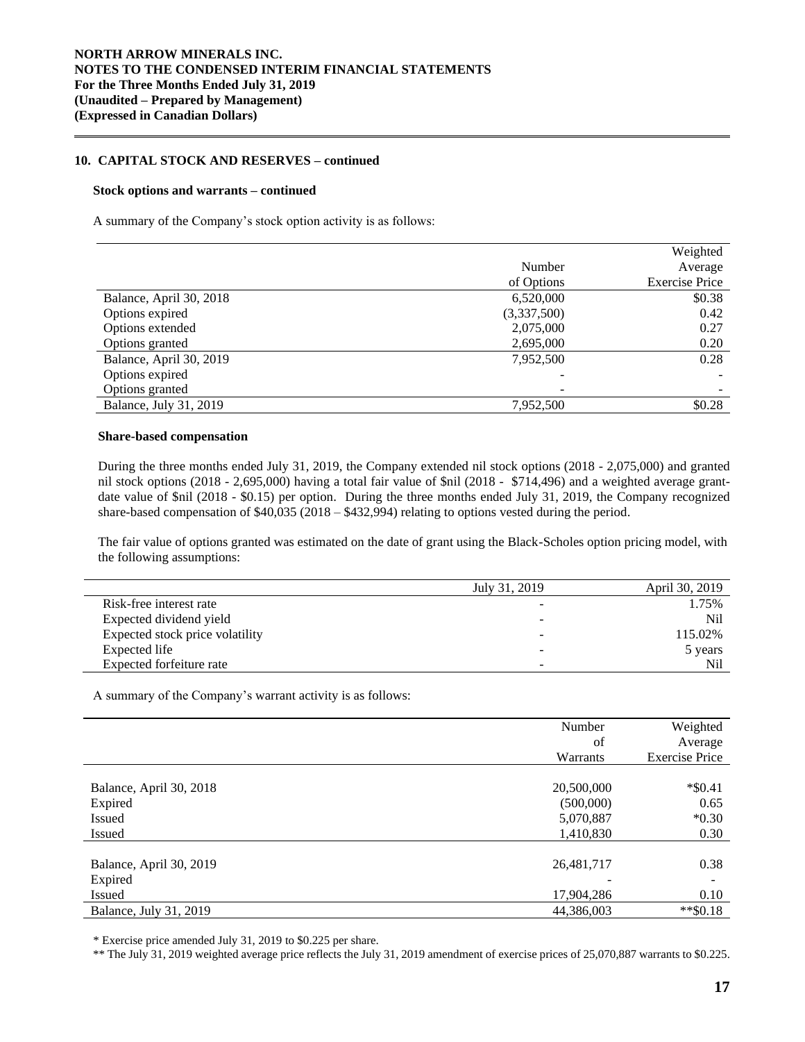## **10. CAPITAL STOCK AND RESERVES – continued**

#### **Stock options and warrants – continued**

A summary of the Company's stock option activity is as follows:

|                         |             | Weighted              |
|-------------------------|-------------|-----------------------|
|                         | Number      | Average               |
|                         | of Options  | <b>Exercise Price</b> |
| Balance, April 30, 2018 | 6,520,000   | \$0.38                |
| Options expired         | (3,337,500) | 0.42                  |
| Options extended        | 2,075,000   | 0.27                  |
| Options granted         | 2,695,000   | 0.20                  |
| Balance, April 30, 2019 | 7,952,500   | 0.28                  |
| Options expired         |             |                       |
| Options granted         |             |                       |
| Balance, July 31, 2019  | 7,952,500   | \$0.28                |

## **Share-based compensation**

During the three months ended July 31, 2019, the Company extended nil stock options (2018 - 2,075,000) and granted nil stock options (2018 - 2,695,000) having a total fair value of \$nil (2018 - \$714,496) and a weighted average grantdate value of \$nil (2018 - \$0.15) per option. During the three months ended July 31, 2019, the Company recognized share-based compensation of \$40,035 (2018 – \$432,994) relating to options vested during the period.

The fair value of options granted was estimated on the date of grant using the Black-Scholes option pricing model, with the following assumptions:

|                                 | July 31, 2019            | April 30, 2019 |
|---------------------------------|--------------------------|----------------|
| Risk-free interest rate         | -                        | 1.75%          |
| Expected dividend yield         | $\overline{\phantom{0}}$ | Nil            |
| Expected stock price volatility | -                        | 115.02%        |
| Expected life                   | $\overline{\phantom{a}}$ | 5 years        |
| Expected forfeiture rate        | $\sim$                   | Nil            |

A summary of the Company's warrant activity is as follows:

|                         | Number     | Weighted              |
|-------------------------|------------|-----------------------|
|                         | of         | Average               |
|                         | Warrants   | <b>Exercise Price</b> |
|                         |            |                       |
| Balance, April 30, 2018 | 20,500,000 | $*$ \$0.41            |
| Expired                 | (500,000)  | 0.65                  |
| Issued                  | 5,070,887  | $*0.30$               |
| Issued                  | 1,410,830  | 0.30                  |
|                         |            |                       |
| Balance, April 30, 2019 | 26,481,717 | 0.38                  |
| Expired                 |            |                       |
| Issued                  | 17,904,286 | 0.10                  |
| Balance, July 31, 2019  | 44,386,003 | $*$ \$0.18            |

\* Exercise price amended July 31, 2019 to \$0.225 per share.

\*\* The July 31, 2019 weighted average price reflects the July 31, 2019 amendment of exercise prices of 25,070,887 warrants to \$0.225.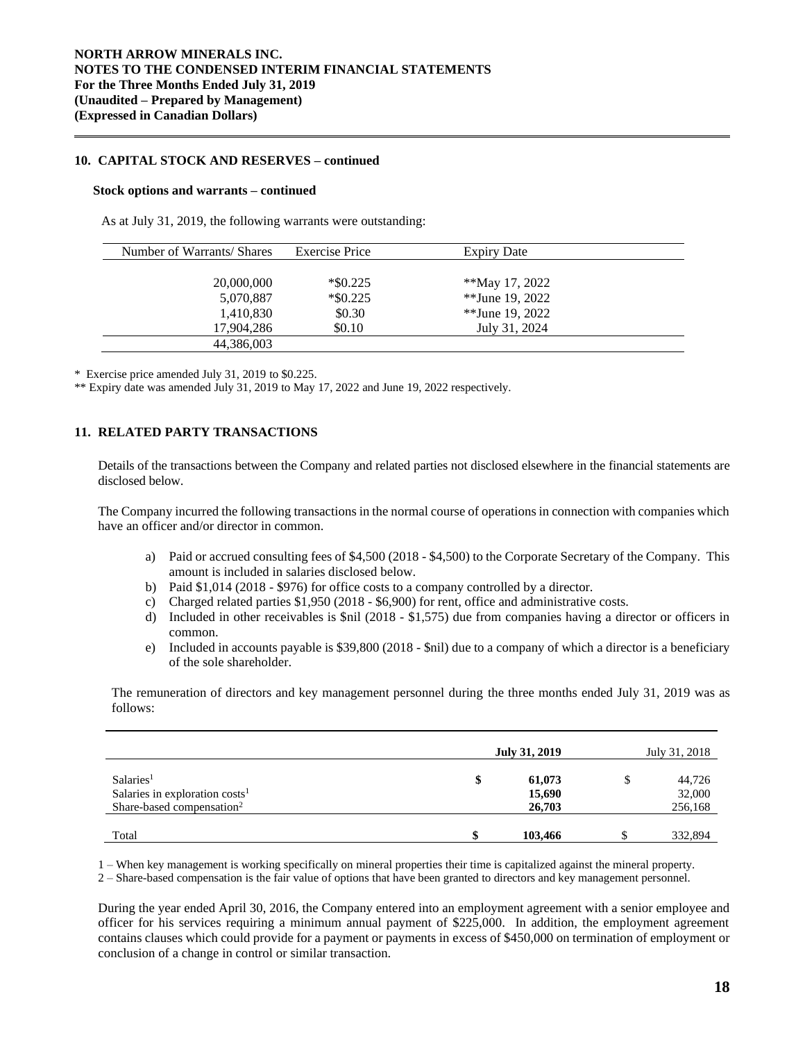## **10. CAPITAL STOCK AND RESERVES – continued**

#### **Stock options and warrants – continued**

As at July 31, 2019, the following warrants were outstanding:

| Number of Warrants/ Shares | Exercise Price | Expiry Date     |  |
|----------------------------|----------------|-----------------|--|
|                            |                |                 |  |
| 20,000,000                 | $*$ \$0.225    | **May 17, 2022  |  |
| 5,070,887                  | $*$ \$0.225    | **June 19, 2022 |  |
| 1,410,830                  | \$0.30         | **June 19, 2022 |  |
| 17,904,286                 | \$0.10         | July 31, 2024   |  |
| 44,386,003                 |                |                 |  |

\* Exercise price amended July 31, 2019 to \$0.225.

\*\* Expiry date was amended July 31, 2019 to May 17, 2022 and June 19, 2022 respectively.

# **11. RELATED PARTY TRANSACTIONS**

Details of the transactions between the Company and related parties not disclosed elsewhere in the financial statements are disclosed below.

The Company incurred the following transactions in the normal course of operations in connection with companies which have an officer and/or director in common.

- a) Paid or accrued consulting fees of \$4,500 (2018 \$4,500) to the Corporate Secretary of the Company. This amount is included in salaries disclosed below.
- b) Paid \$1,014 (2018 \$976) for office costs to a company controlled by a director.
- c) Charged related parties \$1,950 (2018 \$6,900) for rent, office and administrative costs.
- d) Included in other receivables is \$nil (2018 \$1,575) due from companies having a director or officers in common.
- e) Included in accounts payable is \$39,800 (2018 \$nil) due to a company of which a director is a beneficiary of the sole shareholder.

The remuneration of directors and key management personnel during the three months ended July 31, 2019 was as follows:

|                                            | July 31, 2019 |         | July 31, 2018 |         |
|--------------------------------------------|---------------|---------|---------------|---------|
| Salaries <sup>1</sup>                      | \$            | 61,073  | \$            | 44,726  |
| Salaries in exploration costs <sup>1</sup> |               | 15,690  |               | 32,000  |
| Share-based compensation <sup>2</sup>      |               | 26,703  |               | 256,168 |
|                                            |               |         |               |         |
| Total                                      |               | 103,466 |               | 332,894 |

1 – When key management is working specifically on mineral properties their time is capitalized against the mineral property.

2 – Share-based compensation is the fair value of options that have been granted to directors and key management personnel.

During the year ended April 30, 2016, the Company entered into an employment agreement with a senior employee and officer for his services requiring a minimum annual payment of \$225,000. In addition, the employment agreement contains clauses which could provide for a payment or payments in excess of \$450,000 on termination of employment or conclusion of a change in control or similar transaction.